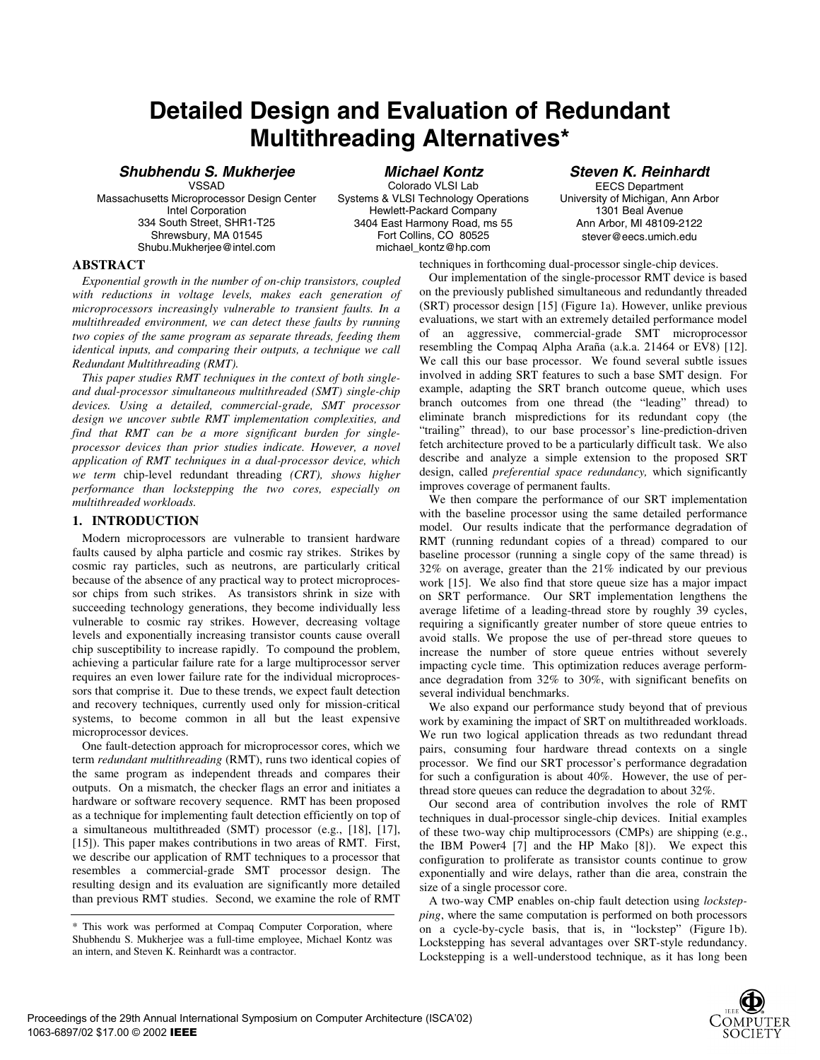# **Detailed Design and Evaluation of Redundant Multithreading Alternatives\***

*Shubhendu S. Mukherjee*

VSSAD Massachusetts Microprocessor Design Center Intel Corporation 334 South Street, SHR1-T25 Shrewsbury, MA 01545 Shubu.Mukherjee@intel.com

*Michael Kontz* Colorado VLSI Lab Systems & VLSI Technology Operations Hewlett-Packard Company 3404 East Harmony Road, ms 55 Fort Collins, CO 80525 michael\_kontz@hp.com

*Steven K. Reinhardt* EECS Department University of Michigan, Ann Arbor 1301 Beal Avenue Ann Arbor, MI 48109-2122 stever@eecs.umich.edu

# **ABSTRACT**

*Exponential growth in the number of on-chip transistors, coupled with reductions in voltage levels, makes each generation of microprocessors increasingly vulnerable to transient faults. In a multithreaded environment, we can detect these faults by running two copies of the same program as separate threads, feeding them identical inputs, and comparing their outputs, a technique we call Redundant Multithreading (RMT).*

*This paper studies RMT techniques in the context of both singleand dual-processor simultaneous multithreaded (SMT) single-chip devices. Using a detailed, commercial-grade, SMT processor design we uncover subtle RMT implementation complexities, and find that RMT can be a more significant burden for singleprocessor devices than prior studies indicate. However, a novel application of RMT techniques in a dual-processor device, which we term* chip-level redundant threading *(CRT), shows higher performance than lockstepping the two cores, especially on multithreaded workloads.* 

# **1. INTRODUCTION**

Modern microprocessors are vulnerable to transient hardware faults caused by alpha particle and cosmic ray strikes. Strikes by cosmic ray particles, such as neutrons, are particularly critical because of the absence of any practical way to protect microprocessor chips from such strikes. As transistors shrink in size with succeeding technology generations, they become individually less vulnerable to cosmic ray strikes. However, decreasing voltage levels and exponentially increasing transistor counts cause overall chip susceptibility to increase rapidly. To compound the problem, achieving a particular failure rate for a large multiprocessor server requires an even lower failure rate for the individual microprocessors that comprise it. Due to these trends, we expect fault detection and recovery techniques, currently used only for mission-critical systems, to become common in all but the least expensive microprocessor devices.

One fault-detection approach for microprocessor cores, which we term *redundant multithreading* (RMT), runs two identical copies of the same program as independent threads and compares their outputs. On a mismatch, the checker flags an error and initiates a hardware or software recovery sequence. RMT has been proposed as a technique for implementing fault detection efficiently on top of a simultaneous multithreaded (SMT) processor (e.g., [18], [17], [15]). This paper makes contributions in two areas of RMT. First, we describe our application of RMT techniques to a processor that resembles a commercial-grade SMT processor design. The resulting design and its evaluation are significantly more detailed than previous RMT studies. Second, we examine the role of RMT

techniques in forthcoming dual-processor single-chip devices.

Our implementation of the single-processor RMT device is based on the previously published simultaneous and redundantly threaded (SRT) processor design [15] (Figure 1a). However, unlike previous evaluations, we start with an extremely detailed performance model of an aggressive, commercial-grade SMT microprocessor resembling the Compaq Alpha Araña (a.k.a. 21464 or EV8) [12]. We call this our base processor. We found several subtle issues involved in adding SRT features to such a base SMT design. For example, adapting the SRT branch outcome queue, which uses branch outcomes from one thread (the "leading" thread) to eliminate branch mispredictions for its redundant copy (the "trailing" thread), to our base processor's line-prediction-driven fetch architecture proved to be a particularly difficult task. We also describe and analyze a simple extension to the proposed SRT design, called *preferential space redundancy,* which significantly improves coverage of permanent faults.

We then compare the performance of our SRT implementation with the baseline processor using the same detailed performance model. Our results indicate that the performance degradation of RMT (running redundant copies of a thread) compared to our baseline processor (running a single copy of the same thread) is 32% on average, greater than the 21% indicated by our previous work [15]. We also find that store queue size has a major impact on SRT performance. Our SRT implementation lengthens the average lifetime of a leading-thread store by roughly 39 cycles, requiring a significantly greater number of store queue entries to avoid stalls. We propose the use of per-thread store queues to increase the number of store queue entries without severely impacting cycle time. This optimization reduces average performance degradation from 32% to 30%, with significant benefits on several individual benchmarks.

We also expand our performance study beyond that of previous work by examining the impact of SRT on multithreaded workloads. We run two logical application threads as two redundant thread pairs, consuming four hardware thread contexts on a single processor. We find our SRT processor's performance degradation for such a configuration is about 40%. However, the use of perthread store queues can reduce the degradation to about 32%.

Our second area of contribution involves the role of RMT techniques in dual-processor single-chip devices. Initial examples of these two-way chip multiprocessors (CMPs) are shipping (e.g., the IBM Power4 [7] and the HP Mako [8]). We expect this configuration to proliferate as transistor counts continue to grow exponentially and wire delays, rather than die area, constrain the size of a single processor core.

A two-way CMP enables on-chip fault detection using *lockstepping*, where the same computation is performed on both processors on a cycle-by-cycle basis, that is, in "lockstep" (Figure 1b). Lockstepping has several advantages over SRT-style redundancy. Lockstepping is a well-understood technique, as it has long been



<sup>\*</sup> This work was performed at Compaq Computer Corporation, where Shubhendu S. Mukherjee was a full-time employee, Michael Kontz was an intern, and Steven K. Reinhardt was a contractor.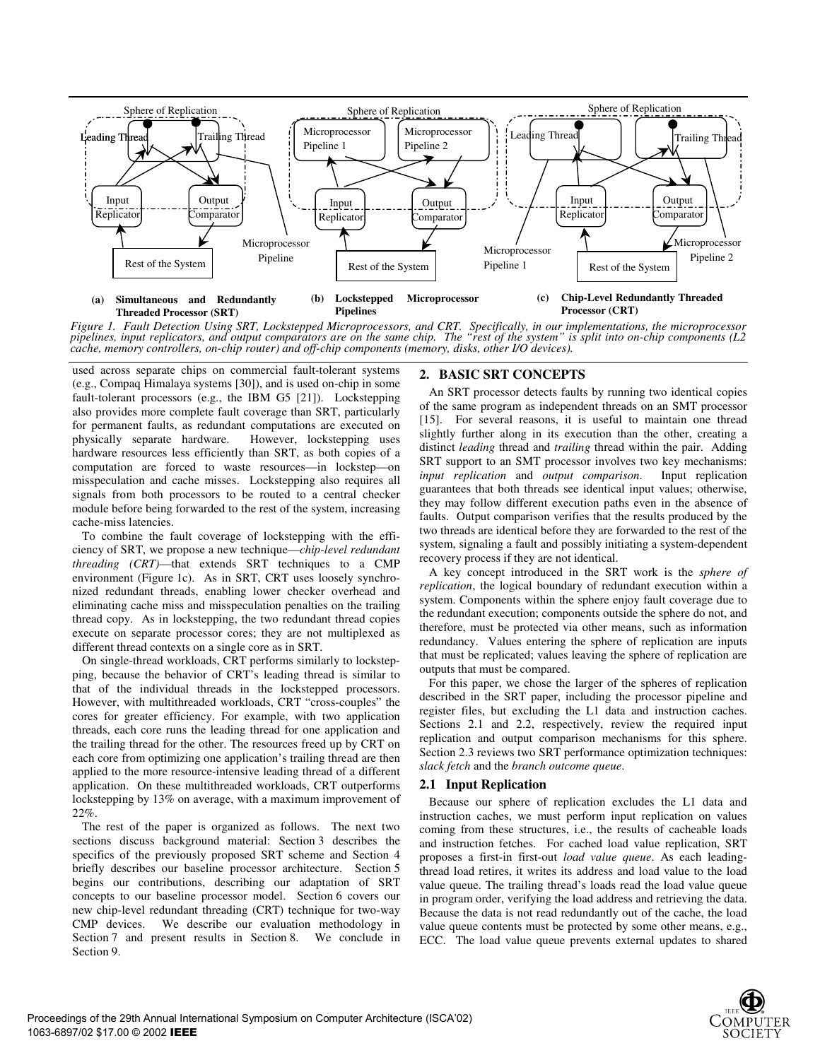

Figure 1. Fault Detection Using SRT, Lockstepped Microprocessors, and CRT. Specifically, in our implementations, the microprocessor<br>pipelines, input replicators, and output comparators are on the same chip. The "rest of th *cache, memory controllers, on-chip router) and off-chip components (memory, disks, other I/O devices).* 

used across separate chips on commercial fault-tolerant systems (e.g., Compaq Himalaya systems [30]), and is used on-chip in some fault-tolerant processors (e.g., the IBM G5 [21]). Lockstepping also provides more complete fault coverage than SRT, particularly for permanent faults, as redundant computations are executed on physically separate hardware. However, lockstepping uses hardware resources less efficiently than SRT, as both copies of a computation are forced to waste resources—in lockstep—on misspeculation and cache misses. Lockstepping also requires all signals from both processors to be routed to a central checker module before being forwarded to the rest of the system, increasing cache-miss latencies.

To combine the fault coverage of lockstepping with the efficiency of SRT, we propose a new technique—*chip-level redundant threading (CRT)*—that extends SRT techniques to a CMP environment (Figure 1c). As in SRT, CRT uses loosely synchronized redundant threads, enabling lower checker overhead and eliminating cache miss and misspeculation penalties on the trailing thread copy. As in lockstepping, the two redundant thread copies execute on separate processor cores; they are not multiplexed as different thread contexts on a single core as in SRT.

On single-thread workloads, CRT performs similarly to lockstepping, because the behavior of CRT's leading thread is similar to that of the individual threads in the lockstepped processors. However, with multithreaded workloads, CRT "cross-couples" the cores for greater efficiency. For example, with two application threads, each core runs the leading thread for one application and the trailing thread for the other. The resources freed up by CRT on each core from optimizing one application's trailing thread are then applied to the more resource-intensive leading thread of a different application. On these multithreaded workloads, CRT outperforms lockstepping by 13% on average, with a maximum improvement of 22%.

The rest of the paper is organized as follows. The next two sections discuss background material: Section 3 describes the specifics of the previously proposed SRT scheme and Section 4 briefly describes our baseline processor architecture. Section 5 begins our contributions, describing our adaptation of SRT concepts to our baseline processor model. Section 6 covers our new chip-level redundant threading (CRT) technique for two-way CMP devices. We describe our evaluation methodology in Section 7 and present results in Section 8. We conclude in Section 9.

## **2. BASIC SRT CONCEPTS**

An SRT processor detects faults by running two identical copies of the same program as independent threads on an SMT processor [15]. For several reasons, it is useful to maintain one thread slightly further along in its execution than the other, creating a distinct *leading* thread and *trailing* thread within the pair. Adding SRT support to an SMT processor involves two key mechanisms: *input replication* and *output comparison*. Input replication guarantees that both threads see identical input values; otherwise, they may follow different execution paths even in the absence of faults. Output comparison verifies that the results produced by the two threads are identical before they are forwarded to the rest of the system, signaling a fault and possibly initiating a system-dependent recovery process if they are not identical.

A key concept introduced in the SRT work is the *sphere of replication*, the logical boundary of redundant execution within a system. Components within the sphere enjoy fault coverage due to the redundant execution; components outside the sphere do not, and therefore, must be protected via other means, such as information redundancy. Values entering the sphere of replication are inputs that must be replicated; values leaving the sphere of replication are outputs that must be compared.

For this paper, we chose the larger of the spheres of replication described in the SRT paper, including the processor pipeline and register files, but excluding the L1 data and instruction caches. Sections 2.1 and 2.2, respectively, review the required input replication and output comparison mechanisms for this sphere. Section 2.3 reviews two SRT performance optimization techniques: *slack fetch* and the *branch outcome queue*.

## **2.1 Input Replication**

Because our sphere of replication excludes the L1 data and instruction caches, we must perform input replication on values coming from these structures, i.e., the results of cacheable loads and instruction fetches. For cached load value replication, SRT proposes a first-in first-out *load value queue*. As each leadingthread load retires, it writes its address and load value to the load value queue. The trailing thread's loads read the load value queue in program order, verifying the load address and retrieving the data. Because the data is not read redundantly out of the cache, the load value queue contents must be protected by some other means, e.g., ECC. The load value queue prevents external updates to shared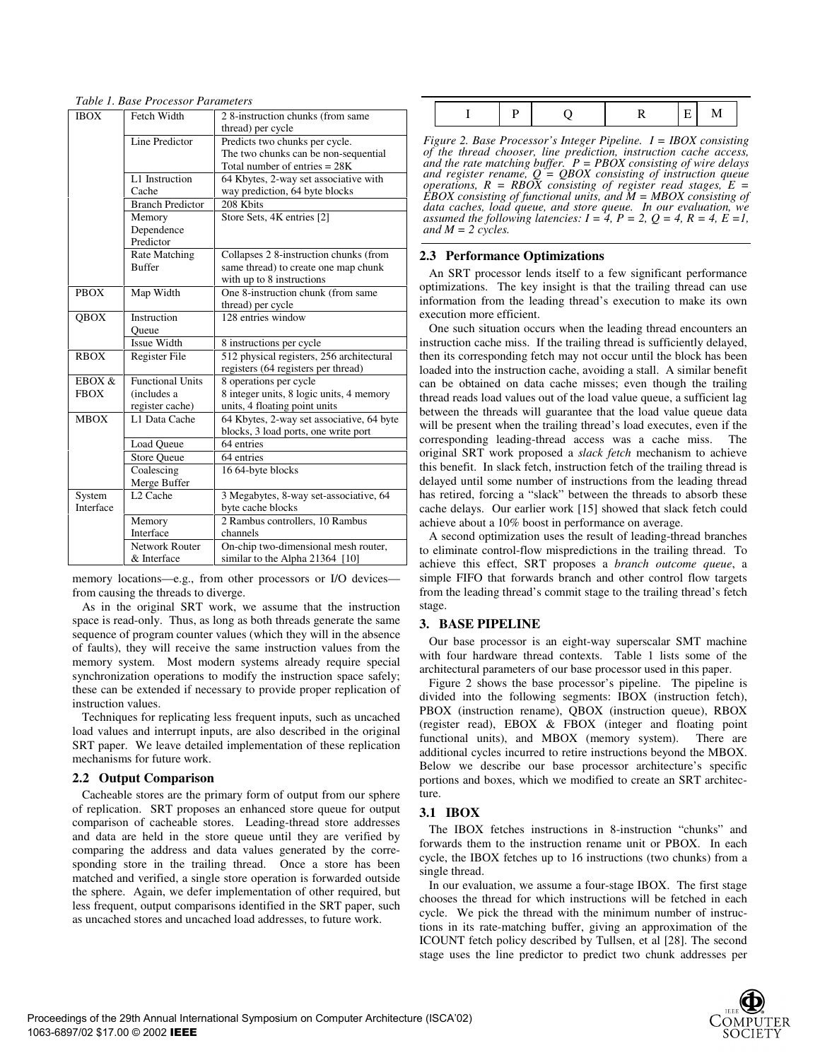*Table 1. Base Processor Parameters* 

| <b>IBOX</b>      | Fetch Width             | 2 8-instruction chunks (from same         |  |  |
|------------------|-------------------------|-------------------------------------------|--|--|
|                  |                         | thread) per cycle                         |  |  |
|                  | Line Predictor          | Predicts two chunks per cycle.            |  |  |
|                  |                         | The two chunks can be non-sequential      |  |  |
|                  |                         | Total number of entries $= 28K$           |  |  |
|                  | L1 Instruction          | 64 Kbytes, 2-way set associative with     |  |  |
|                  | Cache                   | way prediction, 64 byte blocks            |  |  |
|                  | <b>Branch Predictor</b> | 208 Kbits                                 |  |  |
|                  | Memory                  | Store Sets, 4K entries [2]                |  |  |
|                  | Dependence              |                                           |  |  |
|                  | Predictor               |                                           |  |  |
|                  | Rate Matching           | Collapses 2 8-instruction chunks (from    |  |  |
|                  | <b>Buffer</b>           | same thread) to create one map chunk      |  |  |
|                  |                         | with up to 8 instructions                 |  |  |
| <b>PROX</b>      | Map Width               | One 8-instruction chunk (from same        |  |  |
|                  |                         | thread) per cycle                         |  |  |
| QBOX             | Instruction             | 128 entries window                        |  |  |
|                  | Oueue                   |                                           |  |  |
|                  | <b>Issue Width</b>      | 8 instructions per cycle                  |  |  |
| <b>RBOX</b>      | Register File           | 512 physical registers, 256 architectural |  |  |
|                  |                         | registers (64 registers per thread)       |  |  |
| EBOX &           | <b>Functional Units</b> | 8 operations per cycle                    |  |  |
| <b>FROX</b>      | (includes a             | 8 integer units, 8 logic units, 4 memory  |  |  |
|                  | register cache)         | units, 4 floating point units             |  |  |
| <b>MBOX</b>      | L1 Data Cache           | 64 Kbytes, 2-way set associative, 64 byte |  |  |
|                  |                         | blocks, 3 load ports, one write port      |  |  |
|                  | Load Queue              | 64 entries                                |  |  |
|                  | <b>Store Queue</b>      | 64 entries                                |  |  |
|                  | Coalescing              | 16 64-byte blocks                         |  |  |
|                  | Merge Buffer            |                                           |  |  |
| System           | L <sub>2</sub> Cache    | 3 Megabytes, 8-way set-associative, 64    |  |  |
| <b>Interface</b> |                         | byte cache blocks                         |  |  |
|                  | Memory                  | 2 Rambus controllers, 10 Rambus           |  |  |
|                  | <b>Interface</b>        | channels                                  |  |  |
|                  | <b>Network Router</b>   | On-chip two-dimensional mesh router,      |  |  |
|                  | & Interface             | similar to the Alpha $21364$ [10]         |  |  |

memory locations—e.g., from other processors or I/O devices from causing the threads to diverge.

As in the original SRT work, we assume that the instruction space is read-only. Thus, as long as both threads generate the same sequence of program counter values (which they will in the absence of faults), they will receive the same instruction values from the memory system. Most modern systems already require special synchronization operations to modify the instruction space safely; these can be extended if necessary to provide proper replication of instruction values.

Techniques for replicating less frequent inputs, such as uncached load values and interrupt inputs, are also described in the original SRT paper. We leave detailed implementation of these replication mechanisms for future work.

#### **2.2 Output Comparison**

Cacheable stores are the primary form of output from our sphere of replication. SRT proposes an enhanced store queue for output comparison of cacheable stores. Leading-thread store addresses and data are held in the store queue until they are verified by comparing the address and data values generated by the corresponding store in the trailing thread. Once a store has been matched and verified, a single store operation is forwarded outside the sphere. Again, we defer implementation of other required, but less frequent, output comparisons identified in the SRT paper, such as uncached stores and uncached load addresses, to future work.

*Figure 2. Base Processor's Integer Pipeline. I = IBOX consisting of the thread chooser, line prediction, instruction cache access, and the rate matching buffer. P = PBOX consisting of wire delays and register rename, Q = QBOX consisting of instruction queue operations, R = RBOX consisting of register read stages, E = EBOX consisting of functional units, and M = MBOX consisting of data caches, load queue, and store queue. In our evaluation, we assumed the following latencies:*  $I = 4$ ,  $P = 2$ ,  $Q = 4$ ,  $R = 4$ ,  $E = I$ , and  $M = 2$  cycles.

#### **2.3 Performance Optimizations**

An SRT processor lends itself to a few significant performance optimizations. The key insight is that the trailing thread can use information from the leading thread's execution to make its own execution more efficient.

One such situation occurs when the leading thread encounters an instruction cache miss. If the trailing thread is sufficiently delayed, then its corresponding fetch may not occur until the block has been loaded into the instruction cache, avoiding a stall. A similar benefit can be obtained on data cache misses; even though the trailing thread reads load values out of the load value queue, a sufficient lag between the threads will guarantee that the load value queue data will be present when the trailing thread's load executes, even if the corresponding leading-thread access was a cache miss. The original SRT work proposed a *slack fetch* mechanism to achieve this benefit. In slack fetch, instruction fetch of the trailing thread is delayed until some number of instructions from the leading thread has retired, forcing a "slack" between the threads to absorb these cache delays. Our earlier work [15] showed that slack fetch could achieve about a 10% boost in performance on average.

A second optimization uses the result of leading-thread branches to eliminate control-flow mispredictions in the trailing thread. To achieve this effect, SRT proposes a *branch outcome queue*, a simple FIFO that forwards branch and other control flow targets from the leading thread's commit stage to the trailing thread's fetch stage.

## **3. BASE PIPELINE**

Our base processor is an eight-way superscalar SMT machine with four hardware thread contexts. Table 1 lists some of the architectural parameters of our base processor used in this paper.

Figure 2 shows the base processor's pipeline. The pipeline is divided into the following segments: IBOX (instruction fetch), PBOX (instruction rename), QBOX (instruction queue), RBOX (register read), EBOX & FBOX (integer and floating point functional units), and MBOX (memory system). There are additional cycles incurred to retire instructions beyond the MBOX. Below we describe our base processor architecture's specific portions and boxes, which we modified to create an SRT architecture.

## **3.1 IBOX**

The IBOX fetches instructions in 8-instruction "chunks" and forwards them to the instruction rename unit or PBOX. In each cycle, the IBOX fetches up to 16 instructions (two chunks) from a single thread.

In our evaluation, we assume a four-stage IBOX. The first stage chooses the thread for which instructions will be fetched in each cycle. We pick the thread with the minimum number of instructions in its rate-matching buffer, giving an approximation of the ICOUNT fetch policy described by Tullsen, et al [28]. The second stage uses the line predictor to predict two chunk addresses per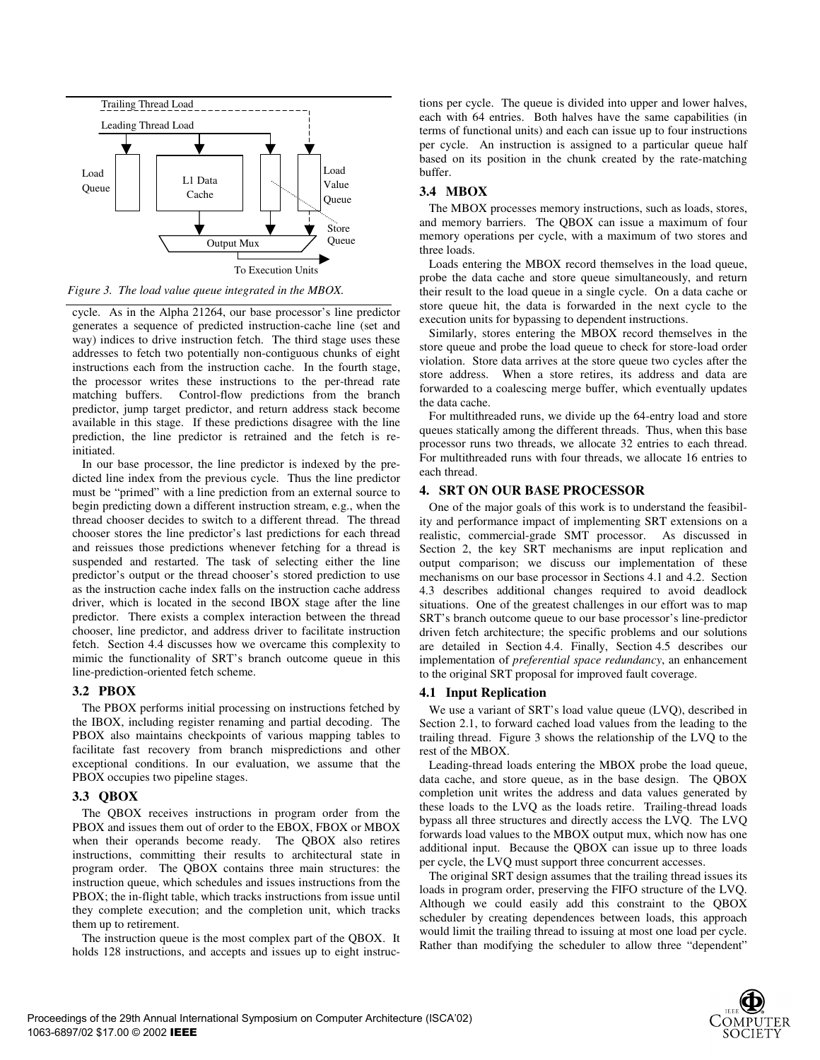

*Figure 3. The load value queue integrated in the MBOX.* 

cycle. As in the Alpha 21264, our base processor's line predictor generates a sequence of predicted instruction-cache line (set and way) indices to drive instruction fetch. The third stage uses these addresses to fetch two potentially non-contiguous chunks of eight instructions each from the instruction cache. In the fourth stage, the processor writes these instructions to the per-thread rate matching buffers. Control-flow predictions from the branch predictor, jump target predictor, and return address stack become available in this stage. If these predictions disagree with the line prediction, the line predictor is retrained and the fetch is reinitiated.

In our base processor, the line predictor is indexed by the predicted line index from the previous cycle. Thus the line predictor must be "primed" with a line prediction from an external source to begin predicting down a different instruction stream, e.g., when the thread chooser decides to switch to a different thread. The thread chooser stores the line predictor's last predictions for each thread and reissues those predictions whenever fetching for a thread is suspended and restarted. The task of selecting either the line predictor's output or the thread chooser's stored prediction to use as the instruction cache index falls on the instruction cache address driver, which is located in the second IBOX stage after the line predictor. There exists a complex interaction between the thread chooser, line predictor, and address driver to facilitate instruction fetch. Section 4.4 discusses how we overcame this complexity to mimic the functionality of SRT's branch outcome queue in this line-prediction-oriented fetch scheme.

## **3.2 PBOX**

The PBOX performs initial processing on instructions fetched by the IBOX, including register renaming and partial decoding. The PBOX also maintains checkpoints of various mapping tables to facilitate fast recovery from branch mispredictions and other exceptional conditions. In our evaluation, we assume that the PBOX occupies two pipeline stages.

## **3.3 QBOX**

The QBOX receives instructions in program order from the PBOX and issues them out of order to the EBOX, FBOX or MBOX when their operands become ready. The QBOX also retires instructions, committing their results to architectural state in program order. The QBOX contains three main structures: the instruction queue, which schedules and issues instructions from the PBOX; the in-flight table, which tracks instructions from issue until they complete execution; and the completion unit, which tracks them up to retirement.

The instruction queue is the most complex part of the QBOX. It holds 128 instructions, and accepts and issues up to eight instructions per cycle. The queue is divided into upper and lower halves, each with 64 entries. Both halves have the same capabilities (in terms of functional units) and each can issue up to four instructions per cycle. An instruction is assigned to a particular queue half based on its position in the chunk created by the rate-matching buffer.

# **3.4 MBOX**

The MBOX processes memory instructions, such as loads, stores, and memory barriers. The QBOX can issue a maximum of four memory operations per cycle, with a maximum of two stores and three loads.

Loads entering the MBOX record themselves in the load queue, probe the data cache and store queue simultaneously, and return their result to the load queue in a single cycle. On a data cache or store queue hit, the data is forwarded in the next cycle to the execution units for bypassing to dependent instructions.

Similarly, stores entering the MBOX record themselves in the store queue and probe the load queue to check for store-load order violation. Store data arrives at the store queue two cycles after the store address. When a store retires, its address and data are forwarded to a coalescing merge buffer, which eventually updates the data cache.

For multithreaded runs, we divide up the 64-entry load and store queues statically among the different threads. Thus, when this base processor runs two threads, we allocate 32 entries to each thread. For multithreaded runs with four threads, we allocate 16 entries to each thread.

## **4. SRT ON OUR BASE PROCESSOR**

One of the major goals of this work is to understand the feasibility and performance impact of implementing SRT extensions on a realistic, commercial-grade SMT processor. As discussed in Section 2, the key SRT mechanisms are input replication and output comparison; we discuss our implementation of these mechanisms on our base processor in Sections 4.1 and 4.2. Section 4.3 describes additional changes required to avoid deadlock situations. One of the greatest challenges in our effort was to map SRT's branch outcome queue to our base processor's line-predictor driven fetch architecture; the specific problems and our solutions are detailed in Section 4.4. Finally, Section 4.5 describes our implementation of *preferential space redundancy*, an enhancement to the original SRT proposal for improved fault coverage.

## **4.1 Input Replication**

We use a variant of SRT's load value queue (LVQ), described in Section 2.1, to forward cached load values from the leading to the trailing thread. Figure 3 shows the relationship of the LVQ to the rest of the MBOX.

Leading-thread loads entering the MBOX probe the load queue, data cache, and store queue, as in the base design. The QBOX completion unit writes the address and data values generated by these loads to the LVQ as the loads retire. Trailing-thread loads bypass all three structures and directly access the LVQ. The LVQ forwards load values to the MBOX output mux, which now has one additional input. Because the QBOX can issue up to three loads per cycle, the LVQ must support three concurrent accesses.

The original SRT design assumes that the trailing thread issues its loads in program order, preserving the FIFO structure of the LVQ. Although we could easily add this constraint to the QBOX scheduler by creating dependences between loads, this approach would limit the trailing thread to issuing at most one load per cycle. Rather than modifying the scheduler to allow three "dependent"

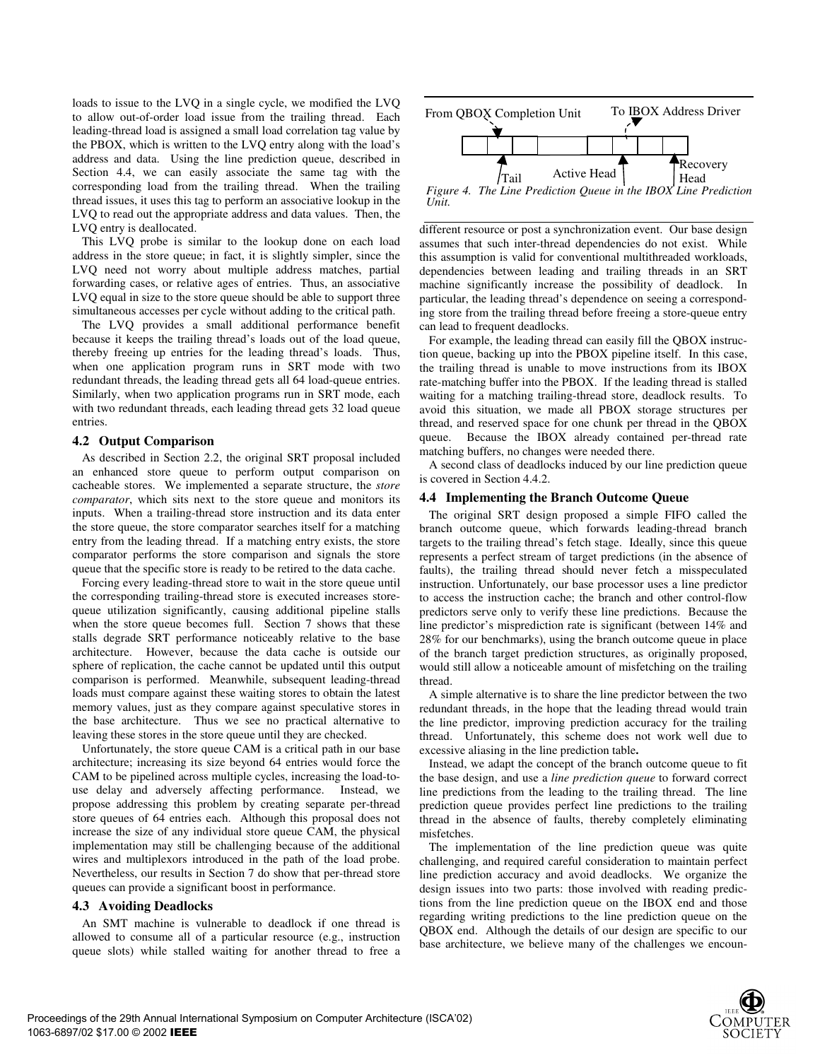loads to issue to the LVQ in a single cycle, we modified the LVQ to allow out-of-order load issue from the trailing thread. Each leading-thread load is assigned a small load correlation tag value by the PBOX, which is written to the LVQ entry along with the load's address and data. Using the line prediction queue, described in Section 4.4, we can easily associate the same tag with the corresponding load from the trailing thread. When the trailing thread issues, it uses this tag to perform an associative lookup in the LVQ to read out the appropriate address and data values. Then, the LVQ entry is deallocated.

This LVQ probe is similar to the lookup done on each load address in the store queue; in fact, it is slightly simpler, since the LVQ need not worry about multiple address matches, partial forwarding cases, or relative ages of entries. Thus, an associative LVQ equal in size to the store queue should be able to support three simultaneous accesses per cycle without adding to the critical path.

The LVQ provides a small additional performance benefit because it keeps the trailing thread's loads out of the load queue, thereby freeing up entries for the leading thread's loads. Thus, when one application program runs in SRT mode with two redundant threads, the leading thread gets all 64 load-queue entries. Similarly, when two application programs run in SRT mode, each with two redundant threads, each leading thread gets 32 load queue entries.

## **4.2 Output Comparison**

As described in Section 2.2, the original SRT proposal included an enhanced store queue to perform output comparison on cacheable stores. We implemented a separate structure, the *store comparator*, which sits next to the store queue and monitors its inputs. When a trailing-thread store instruction and its data enter the store queue, the store comparator searches itself for a matching entry from the leading thread. If a matching entry exists, the store comparator performs the store comparison and signals the store queue that the specific store is ready to be retired to the data cache.

Forcing every leading-thread store to wait in the store queue until the corresponding trailing-thread store is executed increases storequeue utilization significantly, causing additional pipeline stalls when the store queue becomes full. Section 7 shows that these stalls degrade SRT performance noticeably relative to the base architecture. However, because the data cache is outside our sphere of replication, the cache cannot be updated until this output comparison is performed. Meanwhile, subsequent leading-thread loads must compare against these waiting stores to obtain the latest memory values, just as they compare against speculative stores in the base architecture. Thus we see no practical alternative to leaving these stores in the store queue until they are checked.

Unfortunately, the store queue CAM is a critical path in our base architecture; increasing its size beyond 64 entries would force the CAM to be pipelined across multiple cycles, increasing the load-touse delay and adversely affecting performance. Instead, we propose addressing this problem by creating separate per-thread store queues of 64 entries each. Although this proposal does not increase the size of any individual store queue CAM, the physical implementation may still be challenging because of the additional wires and multiplexors introduced in the path of the load probe. Nevertheless, our results in Section 7 do show that per-thread store queues can provide a significant boost in performance.

## **4.3 Avoiding Deadlocks**

An SMT machine is vulnerable to deadlock if one thread is allowed to consume all of a particular resource (e.g., instruction queue slots) while stalled waiting for another thread to free a



*Figure 4. The Line Prediction Queue in the IBOX Line Prediction Unit.* 

different resource or post a synchronization event. Our base design assumes that such inter-thread dependencies do not exist. While this assumption is valid for conventional multithreaded workloads, dependencies between leading and trailing threads in an SRT machine significantly increase the possibility of deadlock. In particular, the leading thread's dependence on seeing a corresponding store from the trailing thread before freeing a store-queue entry can lead to frequent deadlocks.

For example, the leading thread can easily fill the QBOX instruction queue, backing up into the PBOX pipeline itself. In this case, the trailing thread is unable to move instructions from its IBOX rate-matching buffer into the PBOX. If the leading thread is stalled waiting for a matching trailing-thread store, deadlock results. To avoid this situation, we made all PBOX storage structures per thread, and reserved space for one chunk per thread in the QBOX queue. Because the IBOX already contained per-thread rate matching buffers, no changes were needed there.

A second class of deadlocks induced by our line prediction queue is covered in Section 4.4.2.

## **4.4 Implementing the Branch Outcome Queue**

The original SRT design proposed a simple FIFO called the branch outcome queue, which forwards leading-thread branch targets to the trailing thread's fetch stage. Ideally, since this queue represents a perfect stream of target predictions (in the absence of faults), the trailing thread should never fetch a misspeculated instruction. Unfortunately, our base processor uses a line predictor to access the instruction cache; the branch and other control-flow predictors serve only to verify these line predictions. Because the line predictor's misprediction rate is significant (between 14% and 28% for our benchmarks), using the branch outcome queue in place of the branch target prediction structures, as originally proposed, would still allow a noticeable amount of misfetching on the trailing thread.

A simple alternative is to share the line predictor between the two redundant threads, in the hope that the leading thread would train the line predictor, improving prediction accuracy for the trailing thread. Unfortunately, this scheme does not work well due to excessive aliasing in the line prediction table**.**

Instead, we adapt the concept of the branch outcome queue to fit the base design, and use a *line prediction queue* to forward correct line predictions from the leading to the trailing thread. The line prediction queue provides perfect line predictions to the trailing thread in the absence of faults, thereby completely eliminating misfetches.

The implementation of the line prediction queue was quite challenging, and required careful consideration to maintain perfect line prediction accuracy and avoid deadlocks. We organize the design issues into two parts: those involved with reading predictions from the line prediction queue on the IBOX end and those regarding writing predictions to the line prediction queue on the QBOX end. Although the details of our design are specific to our base architecture, we believe many of the challenges we encoun-

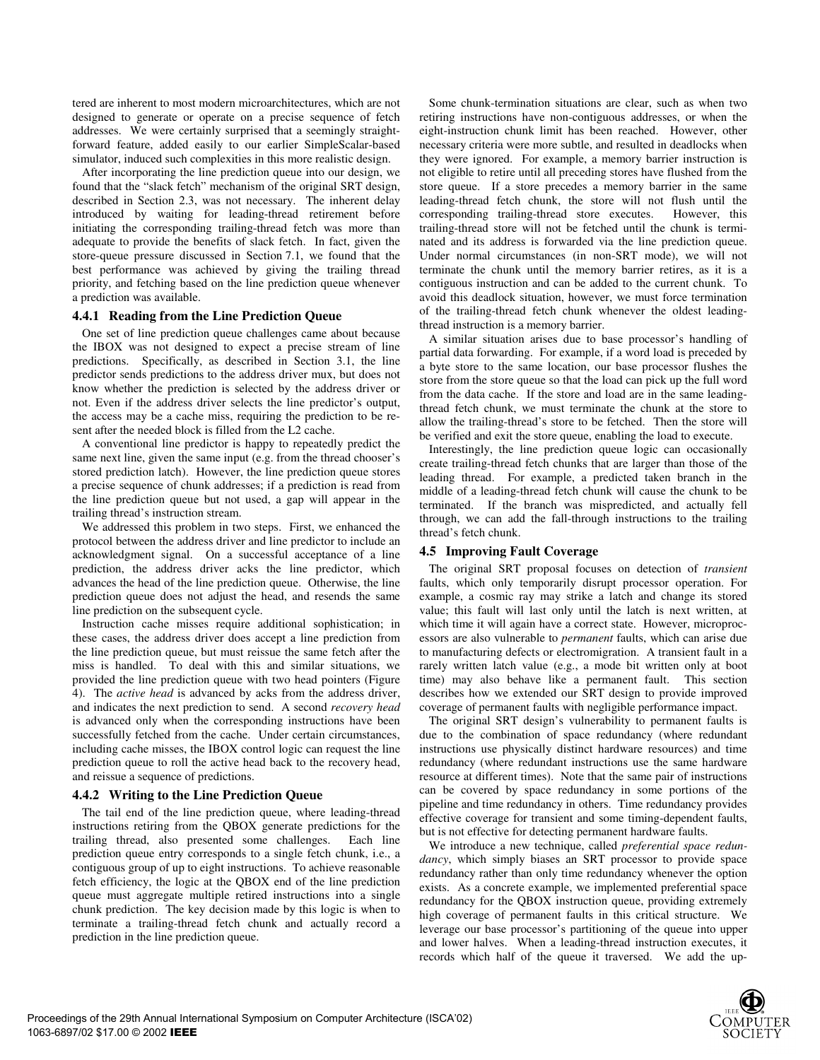tered are inherent to most modern microarchitectures, which are not designed to generate or operate on a precise sequence of fetch addresses. We were certainly surprised that a seemingly straightforward feature, added easily to our earlier SimpleScalar-based simulator, induced such complexities in this more realistic design.

After incorporating the line prediction queue into our design, we found that the "slack fetch" mechanism of the original SRT design, described in Section 2.3, was not necessary. The inherent delay introduced by waiting for leading-thread retirement before initiating the corresponding trailing-thread fetch was more than adequate to provide the benefits of slack fetch. In fact, given the store-queue pressure discussed in Section 7.1, we found that the best performance was achieved by giving the trailing thread priority, and fetching based on the line prediction queue whenever a prediction was available.

## **4.4.1 Reading from the Line Prediction Queue**

One set of line prediction queue challenges came about because the IBOX was not designed to expect a precise stream of line predictions. Specifically, as described in Section 3.1, the line predictor sends predictions to the address driver mux, but does not know whether the prediction is selected by the address driver or not. Even if the address driver selects the line predictor's output, the access may be a cache miss, requiring the prediction to be resent after the needed block is filled from the L2 cache.

A conventional line predictor is happy to repeatedly predict the same next line, given the same input (e.g. from the thread chooser's stored prediction latch). However, the line prediction queue stores a precise sequence of chunk addresses; if a prediction is read from the line prediction queue but not used, a gap will appear in the trailing thread's instruction stream.

We addressed this problem in two steps. First, we enhanced the protocol between the address driver and line predictor to include an acknowledgment signal. On a successful acceptance of a line prediction, the address driver acks the line predictor, which advances the head of the line prediction queue. Otherwise, the line prediction queue does not adjust the head, and resends the same line prediction on the subsequent cycle.

Instruction cache misses require additional sophistication; in these cases, the address driver does accept a line prediction from the line prediction queue, but must reissue the same fetch after the miss is handled. To deal with this and similar situations, we provided the line prediction queue with two head pointers (Figure 4). The *active head* is advanced by acks from the address driver, and indicates the next prediction to send. A second *recovery head* is advanced only when the corresponding instructions have been successfully fetched from the cache. Under certain circumstances, including cache misses, the IBOX control logic can request the line prediction queue to roll the active head back to the recovery head, and reissue a sequence of predictions.

## **4.4.2 Writing to the Line Prediction Queue**

The tail end of the line prediction queue, where leading-thread instructions retiring from the QBOX generate predictions for the trailing thread, also presented some challenges. Each line prediction queue entry corresponds to a single fetch chunk, i.e., a contiguous group of up to eight instructions. To achieve reasonable fetch efficiency, the logic at the QBOX end of the line prediction queue must aggregate multiple retired instructions into a single chunk prediction. The key decision made by this logic is when to terminate a trailing-thread fetch chunk and actually record a prediction in the line prediction queue.

Some chunk-termination situations are clear, such as when two retiring instructions have non-contiguous addresses, or when the eight-instruction chunk limit has been reached. However, other necessary criteria were more subtle, and resulted in deadlocks when they were ignored. For example, a memory barrier instruction is not eligible to retire until all preceding stores have flushed from the store queue. If a store precedes a memory barrier in the same leading-thread fetch chunk, the store will not flush until the corresponding trailing-thread store executes. However, this trailing-thread store will not be fetched until the chunk is terminated and its address is forwarded via the line prediction queue. Under normal circumstances (in non-SRT mode), we will not terminate the chunk until the memory barrier retires, as it is a contiguous instruction and can be added to the current chunk. To avoid this deadlock situation, however, we must force termination of the trailing-thread fetch chunk whenever the oldest leadingthread instruction is a memory barrier.

A similar situation arises due to base processor's handling of partial data forwarding. For example, if a word load is preceded by a byte store to the same location, our base processor flushes the store from the store queue so that the load can pick up the full word from the data cache. If the store and load are in the same leadingthread fetch chunk, we must terminate the chunk at the store to allow the trailing-thread's store to be fetched. Then the store will be verified and exit the store queue, enabling the load to execute.

Interestingly, the line prediction queue logic can occasionally create trailing-thread fetch chunks that are larger than those of the leading thread. For example, a predicted taken branch in the middle of a leading-thread fetch chunk will cause the chunk to be terminated. If the branch was mispredicted, and actually fell through, we can add the fall-through instructions to the trailing thread's fetch chunk.

#### **4.5 Improving Fault Coverage**

The original SRT proposal focuses on detection of *transient* faults, which only temporarily disrupt processor operation. For example, a cosmic ray may strike a latch and change its stored value; this fault will last only until the latch is next written, at which time it will again have a correct state. However, microprocessors are also vulnerable to *permanent* faults, which can arise due to manufacturing defects or electromigration. A transient fault in a rarely written latch value (e.g., a mode bit written only at boot time) may also behave like a permanent fault. This section describes how we extended our SRT design to provide improved coverage of permanent faults with negligible performance impact.

The original SRT design's vulnerability to permanent faults is due to the combination of space redundancy (where redundant instructions use physically distinct hardware resources) and time redundancy (where redundant instructions use the same hardware resource at different times). Note that the same pair of instructions can be covered by space redundancy in some portions of the pipeline and time redundancy in others. Time redundancy provides effective coverage for transient and some timing-dependent faults, but is not effective for detecting permanent hardware faults.

We introduce a new technique, called *preferential space redundancy*, which simply biases an SRT processor to provide space redundancy rather than only time redundancy whenever the option exists. As a concrete example, we implemented preferential space redundancy for the QBOX instruction queue, providing extremely high coverage of permanent faults in this critical structure. We leverage our base processor's partitioning of the queue into upper and lower halves. When a leading-thread instruction executes, it records which half of the queue it traversed. We add the up-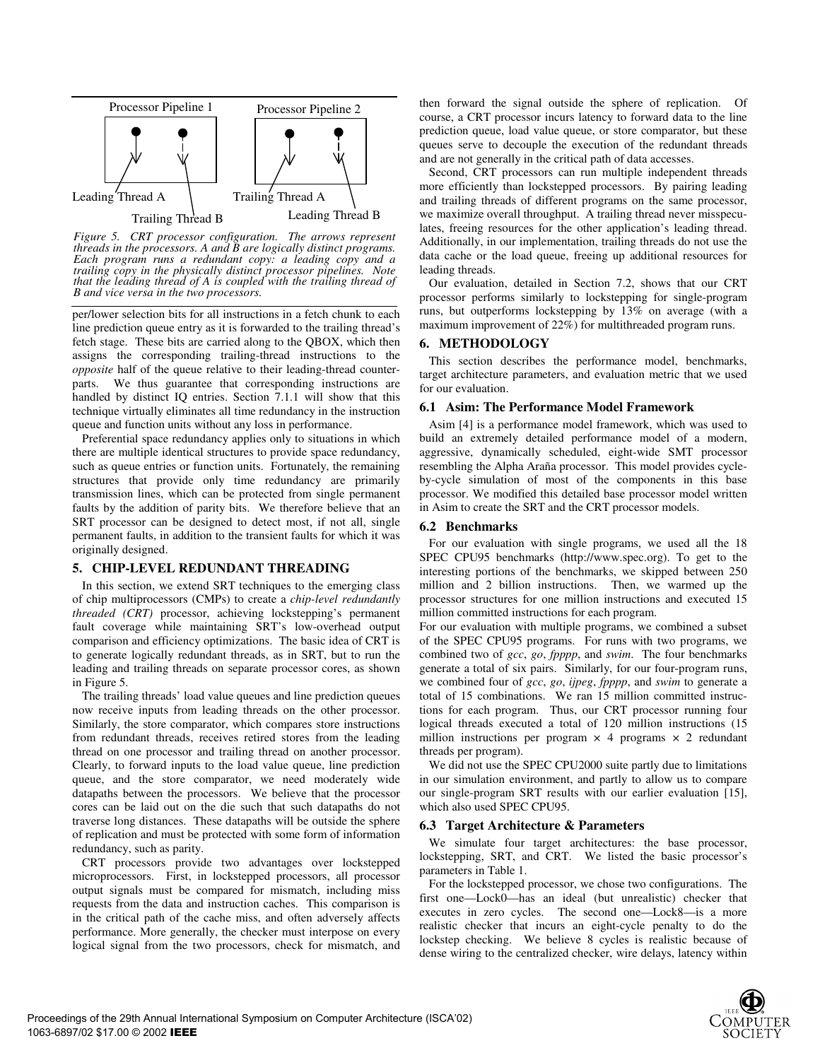

*Figure 5. CRT processor configuration. The arrows represent threads in the processors. A and B are logically distinct programs. Each program runs a redundant copy: a leading copy and a trailing copy in the physically distinct processor pipelines. Note that the leading thread of A is coupled with the trailing thread of B and vice versa in the two processors.* 

per/lower selection bits for all instructions in a fetch chunk to each line prediction queue entry as it is forwarded to the trailing thread's fetch stage. These bits are carried along to the QBOX, which then assigns the corresponding trailing-thread instructions to the *opposite* half of the queue relative to their leading-thread counterparts. We thus guarantee that corresponding instructions are handled by distinct IQ entries. Section 7.1.1 will show that this technique virtually eliminates all time redundancy in the instruction queue and function units without any loss in performance.

Preferential space redundancy applies only to situations in which there are multiple identical structures to provide space redundancy, such as queue entries or function units. Fortunately, the remaining structures that provide only time redundancy are primarily transmission lines, which can be protected from single permanent faults by the addition of parity bits. We therefore believe that an SRT processor can be designed to detect most, if not all, single permanent faults, in addition to the transient faults for which it was originally designed.

#### **5. CHIP-LEVEL REDUNDANT THREADING**

In this section, we extend SRT techniques to the emerging class of chip multiprocessors (CMPs) to create a *chip-level redundantly threaded (CRT)* processor, achieving lockstepping's permanent fault coverage while maintaining SRT's low-overhead output comparison and efficiency optimizations. The basic idea of CRT is to generate logically redundant threads, as in SRT, but to run the leading and trailing threads on separate processor cores, as shown in Figure 5.

The trailing threads' load value queues and line prediction queues now receive inputs from leading threads on the other processor. Similarly, the store comparator, which compares store instructions from redundant threads, receives retired stores from the leading thread on one processor and trailing thread on another processor. Clearly, to forward inputs to the load value queue, line prediction queue, and the store comparator, we need moderately wide datapaths between the processors. We believe that the processor cores can be laid out on the die such that such datapaths do not traverse long distances. These datapaths will be outside the sphere of replication and must be protected with some form of information redundancy, such as parity.

CRT processors provide two advantages over lockstepped microprocessors. First, in lockstepped processors, all processor output signals must be compared for mismatch, including miss requests from the data and instruction caches. This comparison is in the critical path of the cache miss, and often adversely affects performance. More generally, the checker must interpose on every logical signal from the two processors, check for mismatch, and then forward the signal outside the sphere of replication. Of course, a CRT processor incurs latency to forward data to the line prediction queue, load value queue, or store comparator, but these queues serve to decouple the execution of the redundant threads and are not generally in the critical path of data accesses.

Second, CRT processors can run multiple independent threads more efficiently than lockstepped processors. By pairing leading and trailing threads of different programs on the same processor, we maximize overall throughput. A trailing thread never misspeculates, freeing resources for the other application's leading thread. Additionally, in our implementation, trailing threads do not use the data cache or the load queue, freeing up additional resources for leading threads.

Our evaluation, detailed in Section 7.2, shows that our CRT processor performs similarly to lockstepping for single-program runs, but outperforms lockstepping by 13% on average (with a maximum improvement of 22%) for multithreaded program runs.

## **6. METHODOLOGY**

This section describes the performance model, benchmarks, target architecture parameters, and evaluation metric that we used for our evaluation.

## **6.1 Asim: The Performance Model Framework**

Asim [4] is a performance model framework, which was used to build an extremely detailed performance model of a modern, aggressive, dynamically scheduled, eight-wide SMT processor resembling the Alpha Araña processor. This model provides cycleby-cycle simulation of most of the components in this base processor. We modified this detailed base processor model written in Asim to create the SRT and the CRT processor models.

#### **6.2 Benchmarks**

For our evaluation with single programs, we used all the 18 SPEC CPU95 benchmarks (http://www.spec.org). To get to the interesting portions of the benchmarks, we skipped between 250 million and 2 billion instructions. Then, we warmed up the processor structures for one million instructions and executed 15 million committed instructions for each program.

For our evaluation with multiple programs, we combined a subset of the SPEC CPU95 programs. For runs with two programs, we combined two of *gcc*, *go*, *fpppp*, and *swim*. The four benchmarks generate a total of six pairs. Similarly, for our four-program runs, we combined four of *gcc*, *go*, *ijpeg*, *fpppp*, and *swim* to generate a total of 15 combinations. We ran 15 million committed instructions for each program. Thus, our CRT processor running four logical threads executed a total of 120 million instructions (15 million instructions per program  $\times$  4 programs  $\times$  2 redundant threads per program).

We did not use the SPEC CPU2000 suite partly due to limitations in our simulation environment, and partly to allow us to compare our single-program SRT results with our earlier evaluation [15], which also used SPEC CPU95.

## **6.3 Target Architecture & Parameters**

We simulate four target architectures: the base processor, lockstepping, SRT, and CRT. We listed the basic processor's parameters in Table 1.

For the lockstepped processor, we chose two configurations. The first one—Lock0—has an ideal (but unrealistic) checker that executes in zero cycles. The second one—Lock8—is a more realistic checker that incurs an eight-cycle penalty to do the lockstep checking. We believe 8 cycles is realistic because of dense wiring to the centralized checker, wire delays, latency within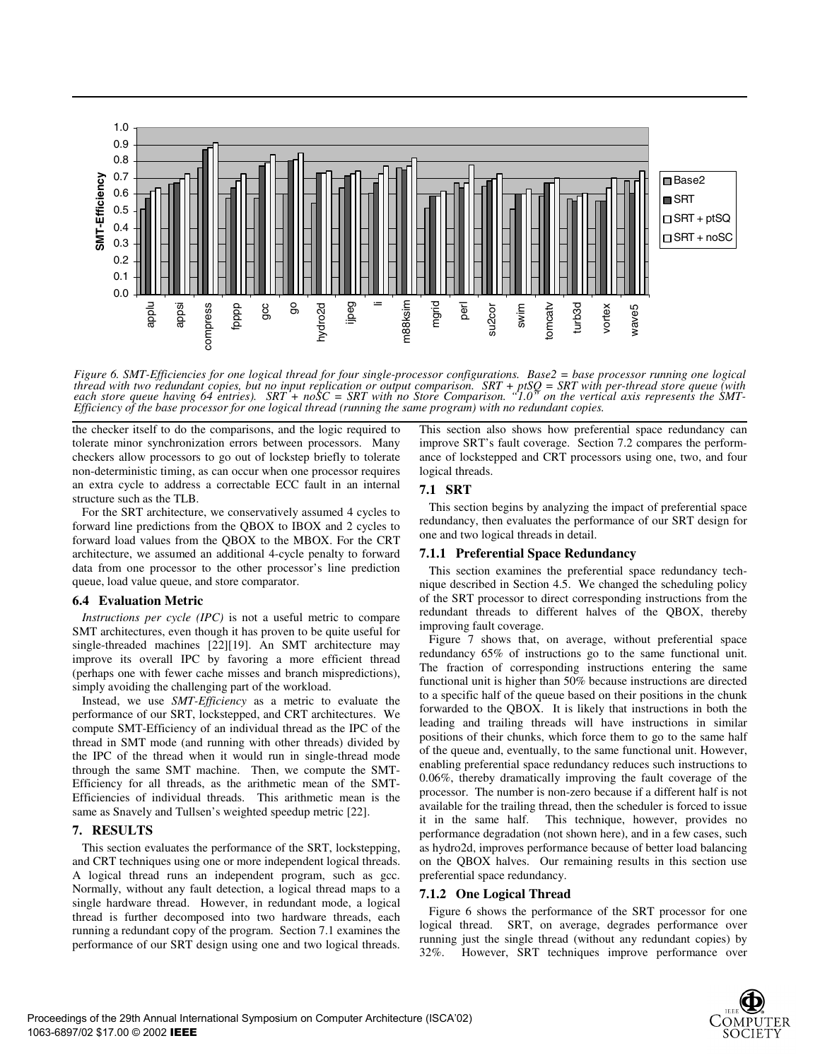

*Figure 6. SMT-Efficiencies for one logical thread for four single-processor configurations. Base2 = base processor running one logical thread with two redundant copies, but no input replication or output comparison. SRT + ptSQ = SRT with per-thread store queue (with each store queue having 64 entries). SRT + noSC = SRT with no Store Comparison. "1.0" on the vertical axis represents the SMT-Efficiency of the base processor for one logical thread (running the same program) with no redundant copies.* 

the checker itself to do the comparisons, and the logic required to tolerate minor synchronization errors between processors. Many checkers allow processors to go out of lockstep briefly to tolerate non-deterministic timing, as can occur when one processor requires an extra cycle to address a correctable ECC fault in an internal structure such as the TLB.

For the SRT architecture, we conservatively assumed 4 cycles to forward line predictions from the QBOX to IBOX and 2 cycles to forward load values from the QBOX to the MBOX. For the CRT architecture, we assumed an additional 4-cycle penalty to forward data from one processor to the other processor's line prediction queue, load value queue, and store comparator.

#### **6.4 Evaluation Metric**

*Instructions per cycle (IPC)* is not a useful metric to compare SMT architectures, even though it has proven to be quite useful for single-threaded machines [22][19]. An SMT architecture may improve its overall IPC by favoring a more efficient thread (perhaps one with fewer cache misses and branch mispredictions), simply avoiding the challenging part of the workload.

Instead, we use *SMT-Efficiency* as a metric to evaluate the performance of our SRT, lockstepped, and CRT architectures. We compute SMT-Efficiency of an individual thread as the IPC of the thread in SMT mode (and running with other threads) divided by the IPC of the thread when it would run in single-thread mode through the same SMT machine. Then, we compute the SMT-Efficiency for all threads, as the arithmetic mean of the SMT-Efficiencies of individual threads. This arithmetic mean is the same as Snavely and Tullsen's weighted speedup metric [22].

## **7. RESULTS**

This section evaluates the performance of the SRT, lockstepping, and CRT techniques using one or more independent logical threads. A logical thread runs an independent program, such as gcc. Normally, without any fault detection, a logical thread maps to a single hardware thread. However, in redundant mode, a logical thread is further decomposed into two hardware threads, each running a redundant copy of the program. Section 7.1 examines the performance of our SRT design using one and two logical threads.

This section also shows how preferential space redundancy can improve SRT's fault coverage. Section 7.2 compares the performance of lockstepped and CRT processors using one, two, and four logical threads.

## **7.1 SRT**

This section begins by analyzing the impact of preferential space redundancy, then evaluates the performance of our SRT design for one and two logical threads in detail.

## **7.1.1 Preferential Space Redundancy**

This section examines the preferential space redundancy technique described in Section 4.5. We changed the scheduling policy of the SRT processor to direct corresponding instructions from the redundant threads to different halves of the QBOX, thereby improving fault coverage.

Figure 7 shows that, on average, without preferential space redundancy 65% of instructions go to the same functional unit. The fraction of corresponding instructions entering the same functional unit is higher than 50% because instructions are directed to a specific half of the queue based on their positions in the chunk forwarded to the QBOX. It is likely that instructions in both the leading and trailing threads will have instructions in similar positions of their chunks, which force them to go to the same half of the queue and, eventually, to the same functional unit. However, enabling preferential space redundancy reduces such instructions to 0.06%, thereby dramatically improving the fault coverage of the processor. The number is non-zero because if a different half is not available for the trailing thread, then the scheduler is forced to issue it in the same half. This technique, however, provides no performance degradation (not shown here), and in a few cases, such as hydro2d, improves performance because of better load balancing on the QBOX halves. Our remaining results in this section use preferential space redundancy.

## **7.1.2 One Logical Thread**

Figure 6 shows the performance of the SRT processor for one logical thread. SRT, on average, degrades performance over running just the single thread (without any redundant copies) by 32%. However, SRT techniques improve performance over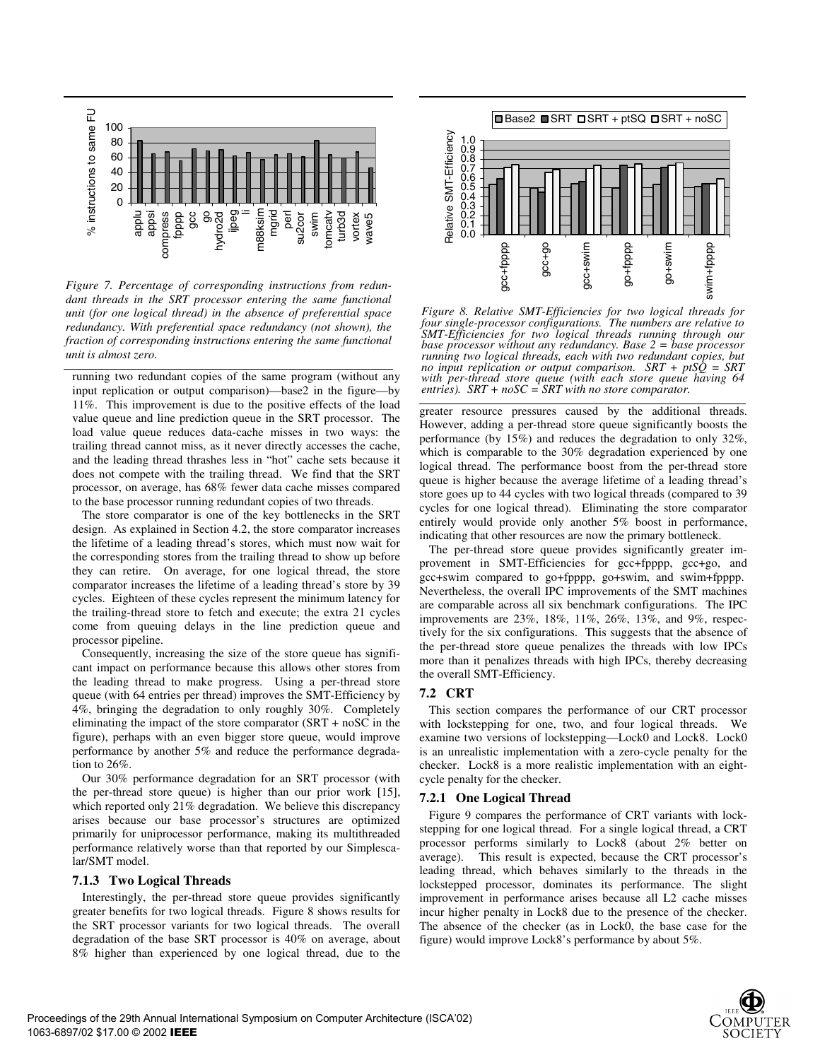

*Figure 7. Percentage of corresponding instructions from redundant threads in the SRT processor entering the same functional unit (for one logical thread) in the absence of preferential space redundancy. With preferential space redundancy (not shown), the fraction of corresponding instructions entering the same functional unit is almost zero.*

running two redundant copies of the same program (without any input replication or output comparison)—base2 in the figure—by 11%. This improvement is due to the positive effects of the load value queue and line prediction queue in the SRT processor. The load value queue reduces data-cache misses in two ways: the trailing thread cannot miss, as it never directly accesses the cache, and the leading thread thrashes less in "hot" cache sets because it does not compete with the trailing thread. We find that the SRT processor, on average, has 68% fewer data cache misses compared to the base processor running redundant copies of two threads.

The store comparator is one of the key bottlenecks in the SRT design. As explained in Section 4.2, the store comparator increases the lifetime of a leading thread's stores, which must now wait for the corresponding stores from the trailing thread to show up before they can retire. On average, for one logical thread, the store comparator increases the lifetime of a leading thread's store by 39 cycles. Eighteen of these cycles represent the minimum latency for the trailing-thread store to fetch and execute; the extra 21 cycles come from queuing delays in the line prediction queue and processor pipeline.

Consequently, increasing the size of the store queue has significant impact on performance because this allows other stores from the leading thread to make progress. Using a per-thread store queue (with 64 entries per thread) improves the SMT-Efficiency by 4%, bringing the degradation to only roughly 30%. Completely eliminating the impact of the store comparator (SRT + noSC in the figure), perhaps with an even bigger store queue, would improve performance by another 5% and reduce the performance degradation to 26%.

Our 30% performance degradation for an SRT processor (with the per-thread store queue) is higher than our prior work [15], which reported only 21% degradation. We believe this discrepancy arises because our base processor's structures are optimized primarily for uniprocessor performance, making its multithreaded performance relatively worse than that reported by our Simplescalar/SMT model.

#### **7.1.3 Two Logical Threads**

Interestingly, the per-thread store queue provides significantly greater benefits for two logical threads. Figure 8 shows results for the SRT processor variants for two logical threads. The overall degradation of the base SRT processor is 40% on average, about 8% higher than experienced by one logical thread, due to the



*Figure 8. Relative SMT-Efficiencies for two logical threads for four single-processor configurations. The numbers are relative to SMT-Efficiencies for two logical threads running through our base processor without any redundancy. Base 2 = base processor running two logical threads, each with two redundant copies, but no input replication or output comparison. SRT + ptSQ = SRT with per-thread store queue (with each store queue having 64 entries). SRT + noSC = SRT with no store comparator.*

greater resource pressures caused by the additional threads. However, adding a per-thread store queue significantly boosts the performance (by 15%) and reduces the degradation to only 32%, which is comparable to the 30% degradation experienced by one logical thread. The performance boost from the per-thread store queue is higher because the average lifetime of a leading thread's store goes up to 44 cycles with two logical threads (compared to 39 cycles for one logical thread). Eliminating the store comparator entirely would provide only another 5% boost in performance, indicating that other resources are now the primary bottleneck.

The per-thread store queue provides significantly greater improvement in SMT-Efficiencies for gcc+fpppp, gcc+go, and gcc+swim compared to go+fpppp, go+swim, and swim+fpppp. Nevertheless, the overall IPC improvements of the SMT machines are comparable across all six benchmark configurations. The IPC improvements are 23%, 18%, 11%, 26%, 13%, and 9%, respectively for the six configurations. This suggests that the absence of the per-thread store queue penalizes the threads with low IPCs more than it penalizes threads with high IPCs, thereby decreasing the overall SMT-Efficiency.

#### **7.2 CRT**

This section compares the performance of our CRT processor with lockstepping for one, two, and four logical threads. We examine two versions of lockstepping—Lock0 and Lock8. Lock0 is an unrealistic implementation with a zero-cycle penalty for the checker. Lock8 is a more realistic implementation with an eightcycle penalty for the checker.

#### **7.2.1 One Logical Thread**

Figure 9 compares the performance of CRT variants with lockstepping for one logical thread. For a single logical thread, a CRT processor performs similarly to Lock8 (about 2% better on average). This result is expected, because the CRT processor's leading thread, which behaves similarly to the threads in the lockstepped processor, dominates its performance. The slight improvement in performance arises because all L2 cache misses incur higher penalty in Lock8 due to the presence of the checker. The absence of the checker (as in Lock0, the base case for the figure) would improve Lock8's performance by about 5%.

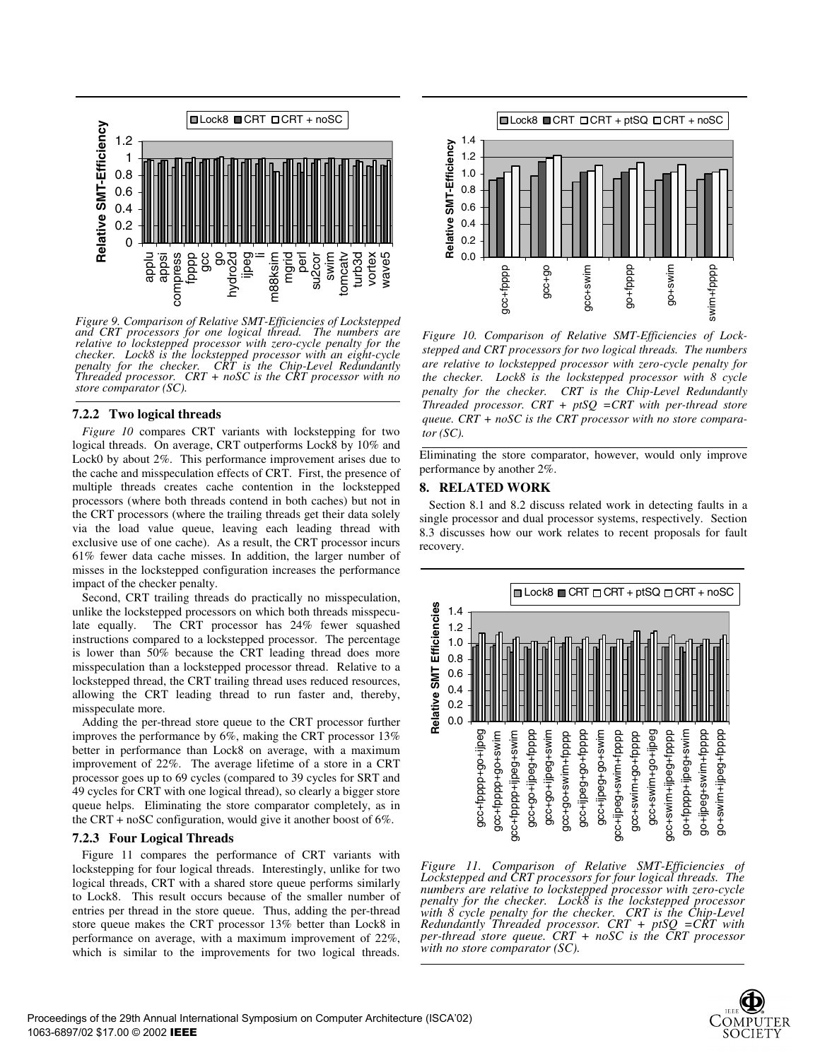

*Figure 9. Comparison of Relative SMT-Efficiencies of Lockstepped and CRT processors for one logical thread. The numbers are relative to lockstepped processor with zero-cycle penalty for the checker. Lock8 is the lockstepped processor with an eight-cycle penalty for the checker. CRT is the Chip-Level Redundantly Threaded processor. CRT + noSC is the CRT processor with no store comparator (SC).* 

## **7.2.2 Two logical threads**

*Figure 10* compares CRT variants with lockstepping for two logical threads. On average, CRT outperforms Lock8 by 10% and Lock0 by about 2%. This performance improvement arises due to the cache and misspeculation effects of CRT. First, the presence of multiple threads creates cache contention in the lockstepped processors (where both threads contend in both caches) but not in the CRT processors (where the trailing threads get their data solely via the load value queue, leaving each leading thread with exclusive use of one cache). As a result, the CRT processor incurs 61% fewer data cache misses. In addition, the larger number of misses in the lockstepped configuration increases the performance impact of the checker penalty.

Second, CRT trailing threads do practically no misspeculation, unlike the lockstepped processors on which both threads misspeculate equally. The CRT processor has 24% fewer squashed instructions compared to a lockstepped processor. The percentage is lower than 50% because the CRT leading thread does more misspeculation than a lockstepped processor thread. Relative to a lockstepped thread, the CRT trailing thread uses reduced resources, allowing the CRT leading thread to run faster and, thereby, misspeculate more.

Adding the per-thread store queue to the CRT processor further improves the performance by 6%, making the CRT processor 13% better in performance than Lock8 on average, with a maximum improvement of 22%. The average lifetime of a store in a CRT processor goes up to 69 cycles (compared to 39 cycles for SRT and 49 cycles for CRT with one logical thread), so clearly a bigger store queue helps. Eliminating the store comparator completely, as in the CRT + noSC configuration, would give it another boost of 6%.

## **7.2.3 Four Logical Threads**

Figure 11 compares the performance of CRT variants with lockstepping for four logical threads. Interestingly, unlike for two logical threads, CRT with a shared store queue performs similarly to Lock8. This result occurs because of the smaller number of entries per thread in the store queue. Thus, adding the per-thread store queue makes the CRT processor 13% better than Lock8 in performance on average, with a maximum improvement of 22%, which is similar to the improvements for two logical threads.



*Figure 10. Comparison of Relative SMT-Efficiencies of Lockstepped and CRT processors for two logical threads. The numbers are relative to lockstepped processor with zero-cycle penalty for the checker. Lock8 is the lockstepped processor with 8 cycle penalty for the checker. CRT is the Chip-Level Redundantly Threaded processor. CRT + ptSQ =CRT with per-thread store queue. CRT + noSC is the CRT processor with no store comparator (SC).*

Eliminating the store comparator, however, would only improve performance by another 2%.

#### **8. RELATED WORK**

Section 8.1 and 8.2 discuss related work in detecting faults in a single processor and dual processor systems, respectively. Section 8.3 discusses how our work relates to recent proposals for fault recovery.



*Figure 11. Comparison of Relative SMT-Efficiencies of Lockstepped and CRT processors for four logical threads. The numbers are relative to lockstepped processor with zero-cycle penalty for the checker. Lock8 is the lockstepped processor with 8 cycle penalty for the checker. CRT is the Chip-Level Redundantly Threaded processor. CRT + ptSQ =CRT with per-thread store queue. CRT + noSC is the CRT processor with no store comparator (SC).*

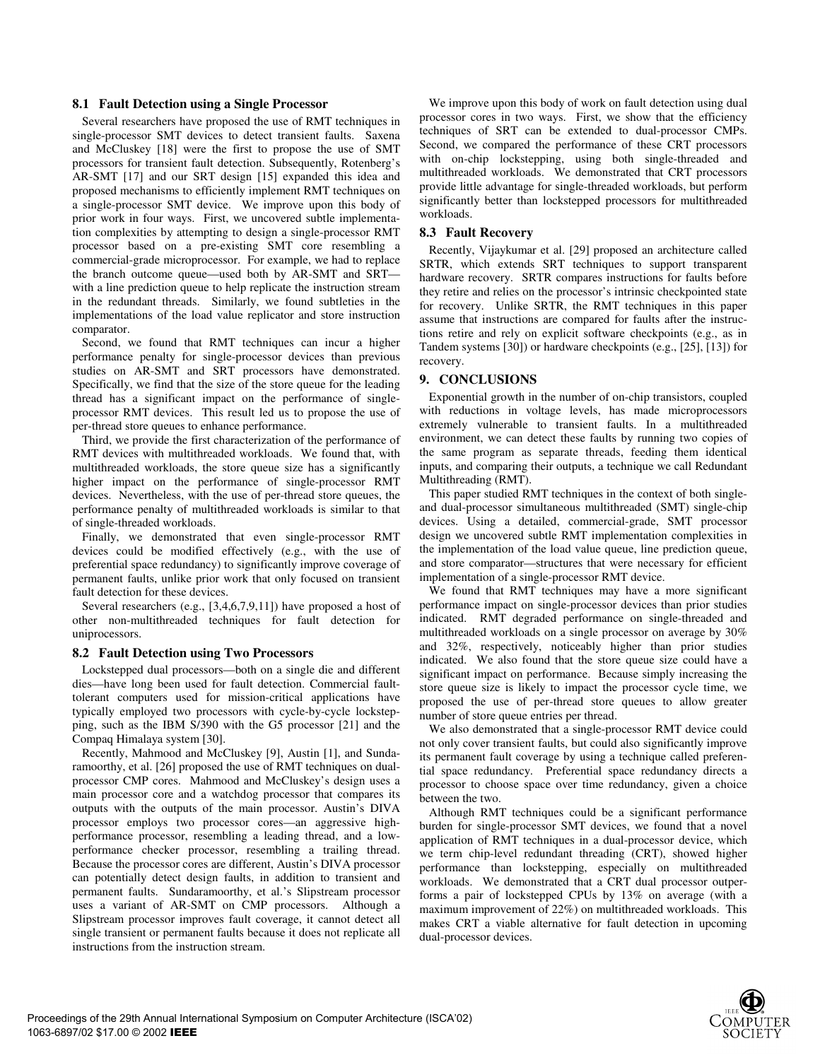#### **8.1 Fault Detection using a Single Processor**

Several researchers have proposed the use of RMT techniques in single-processor SMT devices to detect transient faults. Saxena and McCluskey [18] were the first to propose the use of SMT processors for transient fault detection. Subsequently, Rotenberg's AR-SMT [17] and our SRT design [15] expanded this idea and proposed mechanisms to efficiently implement RMT techniques on a single-processor SMT device. We improve upon this body of prior work in four ways. First, we uncovered subtle implementation complexities by attempting to design a single-processor RMT processor based on a pre-existing SMT core resembling a commercial-grade microprocessor. For example, we had to replace the branch outcome queue—used both by AR-SMT and SRT with a line prediction queue to help replicate the instruction stream in the redundant threads. Similarly, we found subtleties in the implementations of the load value replicator and store instruction comparator.

Second, we found that RMT techniques can incur a higher performance penalty for single-processor devices than previous studies on AR-SMT and SRT processors have demonstrated. Specifically, we find that the size of the store queue for the leading thread has a significant impact on the performance of singleprocessor RMT devices. This result led us to propose the use of per-thread store queues to enhance performance.

Third, we provide the first characterization of the performance of RMT devices with multithreaded workloads. We found that, with multithreaded workloads, the store queue size has a significantly higher impact on the performance of single-processor RMT devices. Nevertheless, with the use of per-thread store queues, the performance penalty of multithreaded workloads is similar to that of single-threaded workloads.

Finally, we demonstrated that even single-processor RMT devices could be modified effectively (e.g., with the use of preferential space redundancy) to significantly improve coverage of permanent faults, unlike prior work that only focused on transient fault detection for these devices.

Several researchers (e.g., [3,4,6,7,9,11]) have proposed a host of other non-multithreaded techniques for fault detection for uniprocessors.

#### **8.2 Fault Detection using Two Processors**

Lockstepped dual processors—both on a single die and different dies—have long been used for fault detection. Commercial faulttolerant computers used for mission-critical applications have typically employed two processors with cycle-by-cycle lockstepping, such as the IBM S/390 with the G5 processor [21] and the Compaq Himalaya system [30].

Recently, Mahmood and McCluskey [9], Austin [1], and Sundaramoorthy, et al. [26] proposed the use of RMT techniques on dualprocessor CMP cores. Mahmood and McCluskey's design uses a main processor core and a watchdog processor that compares its outputs with the outputs of the main processor. Austin's DIVA processor employs two processor cores—an aggressive highperformance processor, resembling a leading thread, and a lowperformance checker processor, resembling a trailing thread. Because the processor cores are different, Austin's DIVA processor can potentially detect design faults, in addition to transient and permanent faults. Sundaramoorthy, et al.'s Slipstream processor uses a variant of AR-SMT on CMP processors. Although a Slipstream processor improves fault coverage, it cannot detect all single transient or permanent faults because it does not replicate all instructions from the instruction stream.

We improve upon this body of work on fault detection using dual processor cores in two ways. First, we show that the efficiency techniques of SRT can be extended to dual-processor CMPs. Second, we compared the performance of these CRT processors with on-chip lockstepping, using both single-threaded and multithreaded workloads. We demonstrated that CRT processors provide little advantage for single-threaded workloads, but perform significantly better than lockstepped processors for multithreaded workloads.

## **8.3 Fault Recovery**

Recently, Vijaykumar et al. [29] proposed an architecture called SRTR, which extends SRT techniques to support transparent hardware recovery. SRTR compares instructions for faults before they retire and relies on the processor's intrinsic checkpointed state for recovery. Unlike SRTR, the RMT techniques in this paper assume that instructions are compared for faults after the instructions retire and rely on explicit software checkpoints (e.g., as in Tandem systems [30]) or hardware checkpoints (e.g., [25], [13]) for recovery.

## **9. CONCLUSIONS**

Exponential growth in the number of on-chip transistors, coupled with reductions in voltage levels, has made microprocessors extremely vulnerable to transient faults. In a multithreaded environment, we can detect these faults by running two copies of the same program as separate threads, feeding them identical inputs, and comparing their outputs, a technique we call Redundant Multithreading (RMT).

This paper studied RMT techniques in the context of both singleand dual-processor simultaneous multithreaded (SMT) single-chip devices. Using a detailed, commercial-grade, SMT processor design we uncovered subtle RMT implementation complexities in the implementation of the load value queue, line prediction queue, and store comparator—structures that were necessary for efficient implementation of a single-processor RMT device.

We found that RMT techniques may have a more significant performance impact on single-processor devices than prior studies indicated. RMT degraded performance on single-threaded and multithreaded workloads on a single processor on average by 30% and 32%, respectively, noticeably higher than prior studies indicated. We also found that the store queue size could have a significant impact on performance. Because simply increasing the store queue size is likely to impact the processor cycle time, we proposed the use of per-thread store queues to allow greater number of store queue entries per thread.

We also demonstrated that a single-processor RMT device could not only cover transient faults, but could also significantly improve its permanent fault coverage by using a technique called preferential space redundancy. Preferential space redundancy directs a processor to choose space over time redundancy, given a choice between the two.

Although RMT techniques could be a significant performance burden for single-processor SMT devices, we found that a novel application of RMT techniques in a dual-processor device, which we term chip-level redundant threading (CRT), showed higher performance than lockstepping, especially on multithreaded workloads. We demonstrated that a CRT dual processor outperforms a pair of lockstepped CPUs by 13% on average (with a maximum improvement of 22%) on multithreaded workloads. This makes CRT a viable alternative for fault detection in upcoming dual-processor devices.